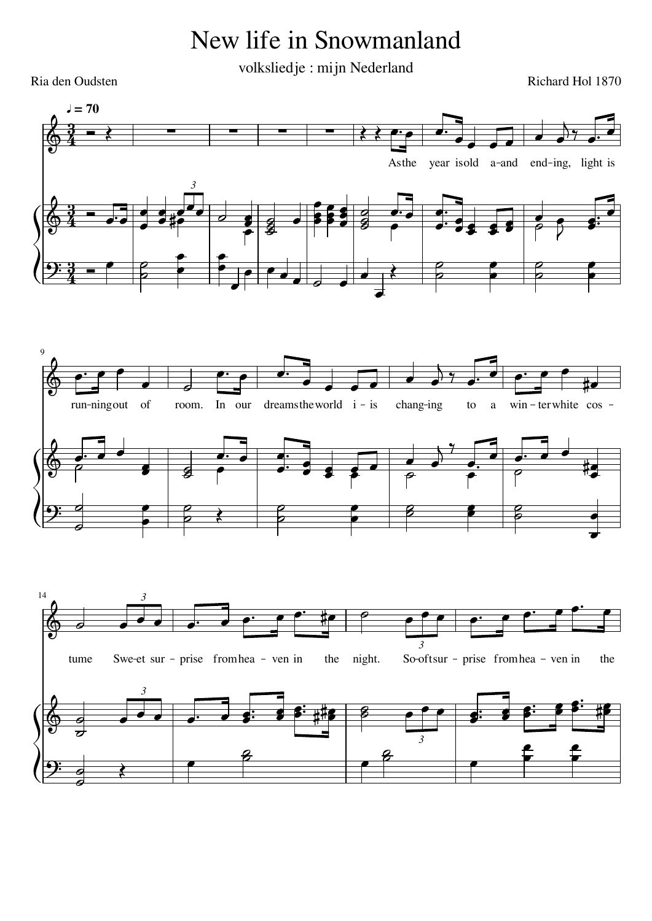## New life in Snowmanland

volksliedje : mijn Nederland

Ria den Oudsten

 $\mathbf{J} = 70$ year isold a-and Asthe end-ing, light is  $\overline{3}$  $\overline{9}$ run-ningout of In our dreams the world  $i - is$ chang-ing  $win - terwhite \cos$ room.  $\mathfrak{g}$  $\rm{a}$  $14$  $\overline{3}$  $\overline{3}$ Swe-et sur - prise from hea - ven in So-oftsur - prise from hea - ven in the night. tume the  $\overline{\mathbf{3}}$  $\overline{3}$ 

Richard Hol 1870